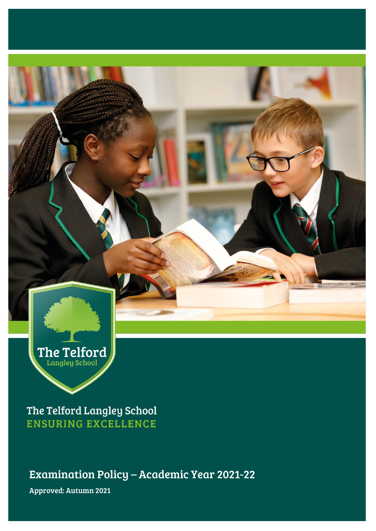

The Telford Langley School **ENSURING EXCELLENCE** 

Examination Policy – Academic Year 2021-22

Approved: Autumn 2021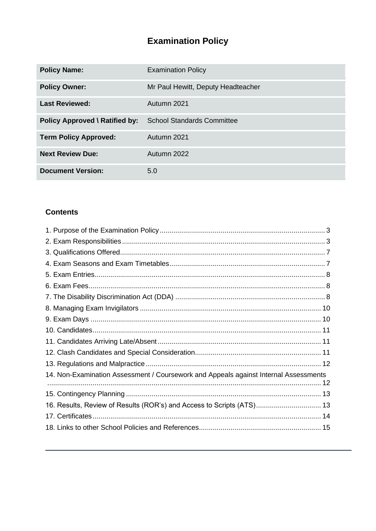# **Examination Policy**

| <b>Policy Name:</b>                   | <b>Examination Policy</b>          |  |
|---------------------------------------|------------------------------------|--|
| <b>Policy Owner:</b>                  | Mr Paul Hewitt, Deputy Headteacher |  |
| <b>Last Reviewed:</b>                 | Autumn 2021                        |  |
| <b>Policy Approved \ Ratified by:</b> | <b>School Standards Committee</b>  |  |
| <b>Term Policy Approved:</b>          | Autumn 2021                        |  |
| <b>Next Review Due:</b>               | Autumn 2022                        |  |
| <b>Document Version:</b>              | 5.0                                |  |

## **Contents**

| 14. Non-Examination Assessment / Coursework and Appeals against Internal Assessments |  |
|--------------------------------------------------------------------------------------|--|
|                                                                                      |  |
| 16. Results, Review of Results (ROR's) and Access to Scripts (ATS) 13                |  |
|                                                                                      |  |
|                                                                                      |  |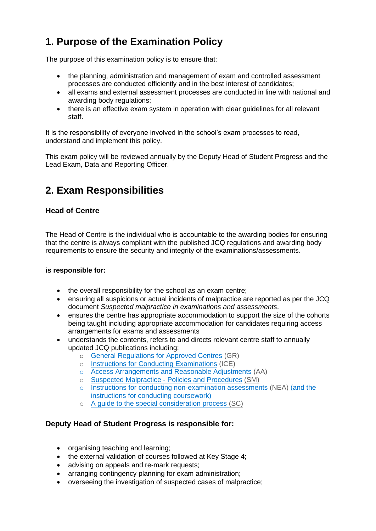# <span id="page-2-0"></span>**1. Purpose of the Examination Policy**

The purpose of this examination policy is to ensure that:

- the planning, administration and management of exam and controlled assessment processes are conducted efficiently and in the best interest of candidates;
- all exams and external assessment processes are conducted in line with national and awarding body regulations;
- there is an effective exam system in operation with clear quidelines for all relevant staff.

It is the responsibility of everyone involved in the school's exam processes to read, understand and implement this policy.

This exam policy will be reviewed annually by the Deputy Head of Student Progress and the Lead Exam, Data and Reporting Officer.

# <span id="page-2-1"></span>**2. Exam Responsibilities**

## **Head of Centre**

The Head of Centre is the individual who is accountable to the awarding bodies for ensuring that the centre is always compliant with the published JCQ regulations and awarding body requirements to ensure the security and integrity of the examinations/assessments.

#### **is responsible for:**

- the overall responsibility for the school as an exam centre;
- ensuring all suspicions or actual incidents of malpractice are reported as per the JCQ document *Suspected malpractice in examinations and assessments*.
- ensures the centre has appropriate accommodation to support the size of the cohorts being taught including appropriate accommodation for candidates requiring access arrangements for exams and assessments
- understands the contents, refers to and directs relevant centre staff to annually updated JCQ publications including:
	- o [General Regulations for Approved Centres](http://www.jcq.org.uk/exams-office/general-regulations) (GR)
	- o [Instructions for Conducting Examinations](http://www.jcq.org.uk/exams-office/ice---instructions-for-conducting-examinations) (ICE)
	- o [Access Arrangements and Reasonable Adjustments](http://www.jcq.org.uk/exams-office/access-arrangements-and-special-consideration/regulations-and-guidance) (AA)
	- o Suspected Malpractice [Policies and Procedures](http://www.jcq.org.uk/exams-office/malpractice) (SM)
	- o [Instructions for conducting non-examination assessments](http://www.jcq.org.uk/exams-office/non-examination-assessments) (NEA) (and the instructions for conducting coursework)
	- o [A guide to the special consideration process](http://www.jcq.org.uk/exams-office/access-arrangements-and-special-consideration/regulations-and-guidance) (SC)

### **Deputy Head of Student Progress is responsible for:**

- organising teaching and learning;
- the external validation of courses followed at Key Stage 4;
- advising on appeals and re-mark requests;
- arranging contingency planning for exam administration:
- overseeing the investigation of suspected cases of malpractice;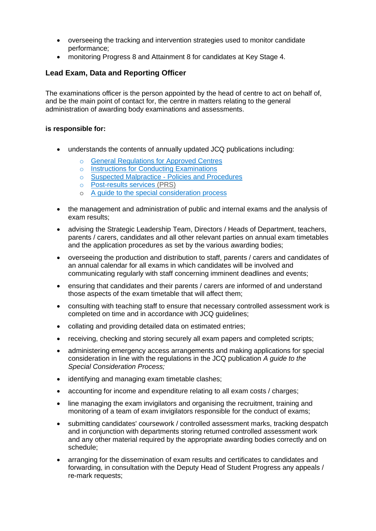- overseeing the tracking and intervention strategies used to monitor candidate performance;
- monitoring Progress 8 and Attainment 8 for candidates at Key Stage 4.

### **Lead Exam, Data and Reporting Officer**

The examinations officer is the person appointed by the head of centre to act on behalf of, and be the main point of contact for, the centre in matters relating to the general administration of awarding body examinations and assessments.

#### **is responsible for:**

- understands the contents of annually updated JCQ publications including:
	- o [General Regulations for Approved Centres](http://www.jcq.org.uk/exams-office/general-regulations)
	- o [Instructions for Conducting Examinations](http://www.jcq.org.uk/exams-office/ice---instructions-for-conducting-examinations)
	- o Suspected Malpractice [Policies and Procedures](http://www.jcq.org.uk/exams-office/malpractice)
	- o [Post-results services](http://www.jcq.org.uk/exams-office/post-results-services) (PRS)
	- o [A guide to the special consideration process](https://www.jcq.org.uk/exams-office/access-arrangements-and-special-consideration/regulations-and-guidance/)
- the management and administration of public and internal exams and the analysis of exam results;
- advising the Strategic Leadership Team, Directors / Heads of Department, teachers, parents / carers, candidates and all other relevant parties on annual exam timetables and the application procedures as set by the various awarding bodies;
- overseeing the production and distribution to staff, parents / carers and candidates of an annual calendar for all exams in which candidates will be involved and communicating regularly with staff concerning imminent deadlines and events;
- ensuring that candidates and their parents / carers are informed of and understand those aspects of the exam timetable that will affect them;
- consulting with teaching staff to ensure that necessary controlled assessment work is completed on time and in accordance with JCQ guidelines;
- collating and providing detailed data on estimated entries;
- receiving, checking and storing securely all exam papers and completed scripts;
- administering emergency access arrangements and making applications for special consideration in line with the regulations in the JCQ publication *A guide to the Special Consideration Process;*
- identifying and managing exam timetable clashes;
- accounting for income and expenditure relating to all exam costs / charges:
- line managing the exam invigilators and organising the recruitment, training and monitoring of a team of exam invigilators responsible for the conduct of exams;
- submitting candidates' coursework / controlled assessment marks, tracking despatch and in conjunction with departments storing returned controlled assessment work and any other material required by the appropriate awarding bodies correctly and on schedule;
- arranging for the dissemination of exam results and certificates to candidates and forwarding, in consultation with the Deputy Head of Student Progress any appeals / re-mark requests;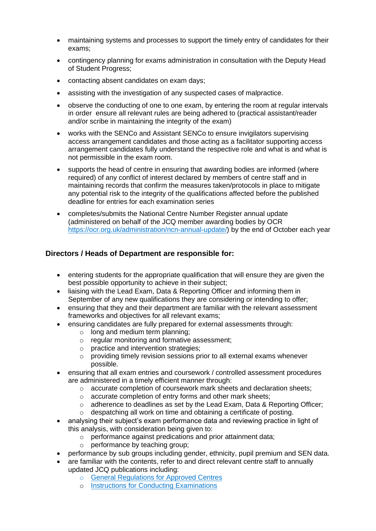- maintaining systems and processes to support the timely entry of candidates for their exams;
- contingency planning for exams administration in consultation with the Deputy Head of Student Progress;
- contacting absent candidates on exam days;
- assisting with the investigation of any suspected cases of malpractice.
- observe the conducting of one to one exam, by entering the room at regular intervals in order ensure all relevant rules are being adhered to (practical assistant/reader and/or scribe in maintaining the integrity of the exam)
- works with the SENCo and Assistant SENCo to ensure invigilators supervising access arrangement candidates and those acting as a facilitator supporting access arrangement candidates fully understand the respective role and what is and what is not permissible in the exam room.
- supports the head of centre in ensuring that awarding bodies are informed (where required) of any conflict of interest declared by members of centre staff and in maintaining records that confirm the measures taken/protocols in place to mitigate any potential risk to the integrity of the qualifications affected before the published deadline for entries for each examination series
- completes/submits the National Centre Number Register annual update (administered on behalf of the JCQ member awarding bodies by OCR [https://ocr.org.uk/administration/ncn-annual-update/\)](https://ocr.org.uk/administration/ncn-annual-update/) by the end of October each year

### **Directors / Heads of Department are responsible for:**

- entering students for the appropriate qualification that will ensure they are given the best possible opportunity to achieve in their subject;
- liaising with the Lead Exam, Data & Reporting Officer and informing them in September of any new qualifications they are considering or intending to offer;
- ensuring that they and their department are familiar with the relevant assessment frameworks and objectives for all relevant exams;
- ensuring candidates are fully prepared for external assessments through:
	- $\circ$  long and medium term planning;
	- o regular monitoring and formative assessment;
	- o practice and intervention strategies;
	- $\circ$  providing timely revision sessions prior to all external exams whenever possible.
- ensuring that all exam entries and coursework / controlled assessment procedures are administered in a timely efficient manner through:
	- o accurate completion of coursework mark sheets and declaration sheets;
	- o accurate completion of entry forms and other mark sheets;
	- o adherence to deadlines as set by the Lead Exam, Data & Reporting Officer;
	- o despatching all work on time and obtaining a certificate of posting.
- analysing their subject's exam performance data and reviewing practice in light of this analysis, with consideration being given to:
	- o performance against predications and prior attainment data;
	- o performance by teaching group;
- performance by sub groups including gender, ethnicity, pupil premium and SEN data.
- are familiar with the contents, refer to and direct relevant centre staff to annually updated JCQ publications including:
	- o [General Regulations for Approved Centres](http://www.jcq.org.uk/exams-office/general-regulations)
	- o [Instructions for Conducting Examinations](http://www.jcq.org.uk/exams-office/ice---instructions-for-conducting-examinations)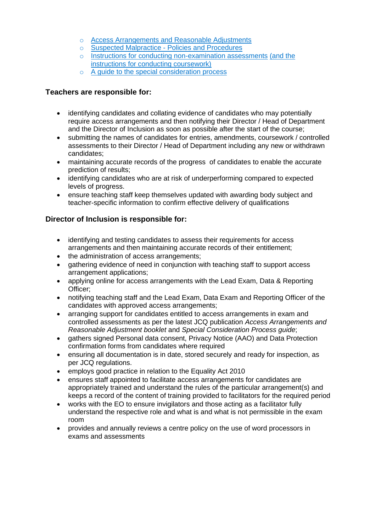- o [Access Arrangements and Reasonable Adjustments](http://www.jcq.org.uk/exams-office/access-arrangements-and-special-consideration/regulations-and-guidance)
- o Suspected Malpractice [Policies and Procedures](http://www.jcq.org.uk/exams-office/malpractice)
- o [Instructions for conducting non-examination assessments](http://www.jcq.org.uk/exams-office/non-examination-assessments) (and the instructions for conducting coursework)
- o [A guide to the special consideration process](http://www.jcq.org.uk/exams-office/access-arrangements-and-special-consideration/regulations-and-guidance)

### **Teachers are responsible for:**

- identifying candidates and collating evidence of candidates who may potentially require access arrangements and then notifying their Director / Head of Department and the Director of Inclusion as soon as possible after the start of the course;
- submitting the names of candidates for entries, amendments, coursework / controlled assessments to their Director / Head of Department including any new or withdrawn candidates;
- maintaining accurate records of the progress of candidates to enable the accurate prediction of results;
- identifying candidates who are at risk of underperforming compared to expected levels of progress.
- ensure teaching staff keep themselves updated with awarding body subject and teacher-specific information to confirm effective delivery of qualifications

### **Director of Inclusion is responsible for:**

- identifying and testing candidates to assess their requirements for access arrangements and then maintaining accurate records of their entitlement;
- the administration of access arrangements;
- gathering evidence of need in conjunction with teaching staff to support access arrangement applications;
- applying online for access arrangements with the Lead Exam, Data & Reporting Officer;
- notifying teaching staff and the Lead Exam, Data Exam and Reporting Officer of the candidates with approved access arrangements;
- arranging support for candidates entitled to access arrangements in exam and controlled assessments as per the latest JCQ publication *Access Arrangements and Reasonable Adjustment booklet* and *Special Consideration Process guide*;
- gathers signed Personal data consent, Privacy Notice (AAO) and Data Protection confirmation forms from candidates where required
- ensuring all documentation is in date, stored securely and ready for inspection, as per JCQ regulations.
- employs good practice in relation to the Equality Act 2010
- ensures staff appointed to facilitate access arrangements for candidates are appropriately trained and understand the rules of the particular arrangement(s) and keeps a record of the content of training provided to facilitators for the required period
- works with the EO to ensure invigilators and those acting as a facilitator fully understand the respective role and what is and what is not permissible in the exam room
- provides and annually reviews a centre policy on the use of word processors in exams and assessments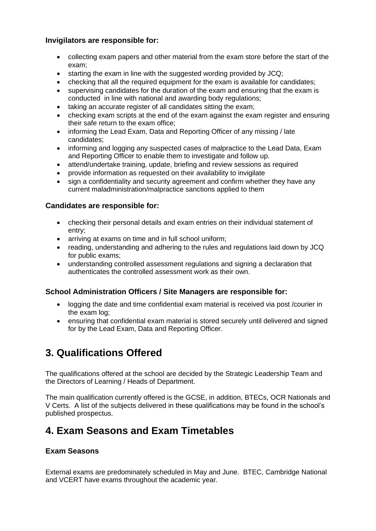### **Invigilators are responsible for:**

- collecting exam papers and other material from the exam store before the start of the exam;
- starting the exam in line with the suggested wording provided by JCQ:
- checking that all the required equipment for the exam is available for candidates:
- supervising candidates for the duration of the exam and ensuring that the exam is conducted in line with national and awarding body regulations;
- taking an accurate register of all candidates sitting the exam;
- checking exam scripts at the end of the exam against the exam register and ensuring their safe return to the exam office;
- informing the Lead Exam, Data and Reporting Officer of any missing / late candidates;
- informing and logging any suspected cases of malpractice to the Lead Data, Exam and Reporting Officer to enable them to investigate and follow up.
- attend/undertake training, update, briefing and review sessions as required
- provide information as requested on their availability to invigilate
- sign a confidentiality and security agreement and confirm whether they have any current maladministration/malpractice sanctions applied to them

### **Candidates are responsible for:**

- checking their personal details and exam entries on their individual statement of entry;
- arriving at exams on time and in full school uniform;
- reading, understanding and adhering to the rules and regulations laid down by JCQ for public exams;
- understanding controlled assessment regulations and signing a declaration that authenticates the controlled assessment work as their own.

### **School Administration Officers / Site Managers are responsible for:**

- logging the date and time confidential exam material is received via post /courier in the exam log;
- ensuring that confidential exam material is stored securely until delivered and signed for by the Lead Exam, Data and Reporting Officer.

## <span id="page-6-0"></span>**3. Qualifications Offered**

The qualifications offered at the school are decided by the Strategic Leadership Team and the Directors of Learning / Heads of Department.

The main qualification currently offered is the GCSE, in addition, BTECs, OCR Nationals and V Certs. A list of the subjects delivered in these qualifications may be found in the school's published prospectus.

## <span id="page-6-1"></span>**4. Exam Seasons and Exam Timetables**

### **Exam Seasons**

External exams are predominately scheduled in May and June. BTEC, Cambridge National and VCERT have exams throughout the academic year.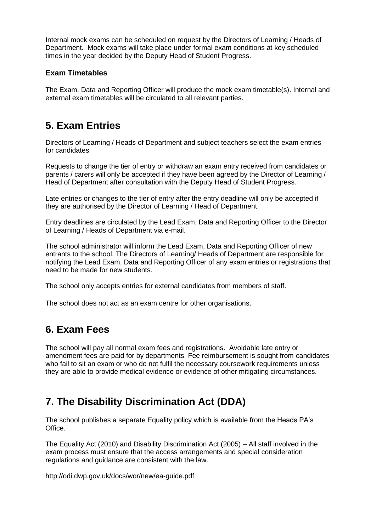Internal mock exams can be scheduled on request by the Directors of Learning / Heads of Department. Mock exams will take place under formal exam conditions at key scheduled times in the year decided by the Deputy Head of Student Progress.

### **Exam Timetables**

The Exam, Data and Reporting Officer will produce the mock exam timetable(s). Internal and external exam timetables will be circulated to all relevant parties.

## <span id="page-7-0"></span>**5. Exam Entries**

Directors of Learning / Heads of Department and subject teachers select the exam entries for candidates.

Requests to change the tier of entry or withdraw an exam entry received from candidates or parents / carers will only be accepted if they have been agreed by the Director of Learning / Head of Department after consultation with the Deputy Head of Student Progress.

Late entries or changes to the tier of entry after the entry deadline will only be accepted if they are authorised by the Director of Learning / Head of Department.

Entry deadlines are circulated by the Lead Exam, Data and Reporting Officer to the Director of Learning / Heads of Department via e-mail.

The school administrator will inform the Lead Exam, Data and Reporting Officer of new entrants to the school. The Directors of Learning/ Heads of Department are responsible for notifying the Lead Exam, Data and Reporting Officer of any exam entries or registrations that need to be made for new students.

The school only accepts entries for external candidates from members of staff.

The school does not act as an exam centre for other organisations.

# <span id="page-7-1"></span>**6. Exam Fees**

The school will pay all normal exam fees and registrations. Avoidable late entry or amendment fees are paid for by departments. Fee reimbursement is sought from candidates who fail to sit an exam or who do not fulfil the necessary coursework requirements unless they are able to provide medical evidence or evidence of other mitigating circumstances.

## <span id="page-7-2"></span>**7. The Disability Discrimination Act (DDA)**

The school publishes a separate Equality policy which is available from the Heads PA's Office.

The Equality Act (2010) and Disability Discrimination Act (2005) – All staff involved in the exam process must ensure that the access arrangements and special consideration regulations and guidance are consistent with the law.

<http://odi.dwp.gov.uk/docs/wor/new/ea-guide.pdf>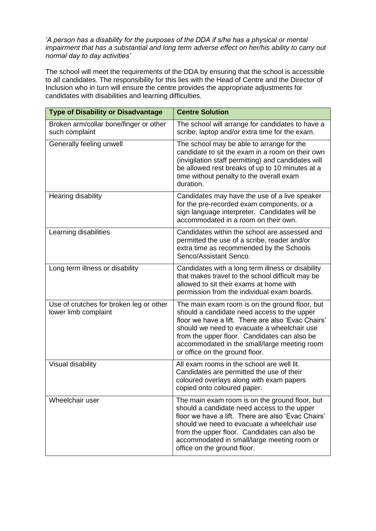*'A person has a disability for the purposes of the DDA if s/he has a physical or mental impairment that has a substantial and long term adverse effect on her/his ability to carry out normal day to day activities'*

The school will meet the requirements of the DDA by ensuring that the school is accessible to all candidates. The responsibility for this lies with the Head of Centre and the Director of Inclusion who in turn will ensure the centre provides the appropriate adjustments for candidates with disabilities and learning difficulties.

<span id="page-8-0"></span>

| <b>Type of Disability or Disadvantage</b>                       | <b>Centre Solution</b>                                                                                                                                                                                                                                                                                                               |  |
|-----------------------------------------------------------------|--------------------------------------------------------------------------------------------------------------------------------------------------------------------------------------------------------------------------------------------------------------------------------------------------------------------------------------|--|
| Broken arm/collar bone/finger or other<br>such complaint        | The school will arrange for candidates to have a<br>scribe, laptop and/or extra time for the exam.                                                                                                                                                                                                                                   |  |
| Generally feeling unwell                                        | The school may be able to arrange for the<br>candidate to sit the exam in a room on their own<br>(invigilation staff permitting) and candidates will<br>be allowed rest breaks of up to 10 minutes at a<br>time without penalty to the overall exam<br>duration.                                                                     |  |
| Hearing disability                                              | Candidates may have the use of a live speaker<br>for the pre-recorded exam components, or a<br>sign language interpreter. Candidates will be<br>accommodated in a room on their own.                                                                                                                                                 |  |
| Learning disabilities                                           | Candidates within the school are assessed and<br>permitted the use of a scribe, reader and/or<br>extra time as recommended by the Schools<br>Senco/Assistant Senco.                                                                                                                                                                  |  |
| Long term illness or disability                                 | Candidates with a long term illness or disability<br>that makes travel to the school difficult may be<br>allowed to sit their exams at home with<br>permission from the individual exam boards.                                                                                                                                      |  |
| Use of crutches for broken leg or other<br>lower limb complaint | The main exam room is on the ground floor, but<br>should a candidate need access to the upper<br>floor we have a lift. There are also 'Evac Chairs'<br>should we need to evacuate a wheelchair use<br>from the upper floor. Candidates can also be<br>accommodated in the small/large meeting room<br>or office on the ground floor. |  |
| Visual disability                                               | All exam rooms in the school are well lit.<br>Candidates are permitted the use of their<br>coloured overlays along with exam papers<br>copied onto coloured paper.                                                                                                                                                                   |  |
| Wheelchair user                                                 | The main exam room is on the ground floor, but<br>should a candidate need access to the upper<br>floor we have a lift. There are also 'Evac Chairs'<br>should we need to evacuate a wheelchair use<br>from the upper floor. Candidates can also be<br>accommodated in small/large meeting room or<br>office on the ground floor.     |  |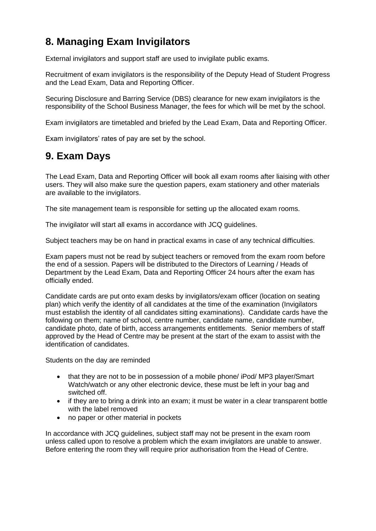# **8. Managing Exam Invigilators**

External invigilators and support staff are used to invigilate public exams.

Recruitment of exam invigilators is the responsibility of the Deputy Head of Student Progress and the Lead Exam, Data and Reporting Officer.

Securing Disclosure and Barring Service (DBS) clearance for new exam invigilators is the responsibility of the School Business Manager, the fees for which will be met by the school.

Exam invigilators are timetabled and briefed by the Lead Exam, Data and Reporting Officer.

<span id="page-9-0"></span>Exam invigilators' rates of pay are set by the school.

## **9. Exam Days**

The Lead Exam, Data and Reporting Officer will book all exam rooms after liaising with other users. They will also make sure the question papers, exam stationery and other materials are available to the invigilators.

The site management team is responsible for setting up the allocated exam rooms.

The invigilator will start all exams in accordance with JCQ guidelines.

Subject teachers may be on hand in practical exams in case of any technical difficulties.

Exam papers must not be read by subject teachers or removed from the exam room before the end of a session. Papers will be distributed to the Directors of Learning / Heads of Department by the Lead Exam, Data and Reporting Officer 24 hours after the exam has officially ended.

Candidate cards are put onto exam desks by invigilators/exam officer (location on seating plan) which verify the identity of all candidates at the time of the examination (Invigilators must establish the identity of all candidates sitting examinations). Candidate cards have the following on them; name of school, centre number, candidate name, candidate number, candidate photo, date of birth, access arrangements entitlements. Senior members of staff approved by the Head of Centre may be present at the start of the exam to assist with the identification of candidates.

Students on the day are reminded

- that they are not to be in possession of a mobile phone/ iPod/ MP3 player/Smart Watch/watch or any other electronic device, these must be left in your bag and switched off.
- if they are to bring a drink into an exam; it must be water in a clear transparent bottle with the label removed
- no paper or other material in pockets

In accordance with JCQ guidelines, subject staff may not be present in the exam room unless called upon to resolve a problem which the exam invigilators are unable to answer. Before entering the room they will require prior authorisation from the Head of Centre.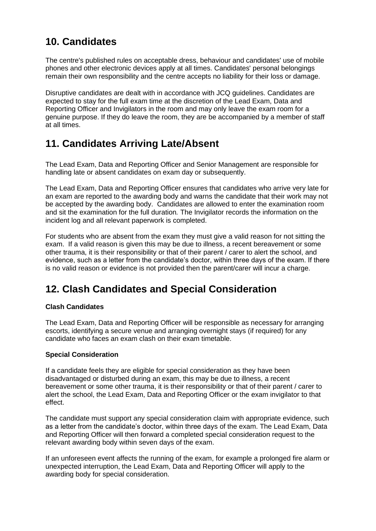# <span id="page-10-0"></span>**10. Candidates**

The centre's published rules on acceptable dress, behaviour and candidates' use of mobile phones and other electronic devices apply at all times. Candidates' personal belongings remain their own responsibility and the centre accepts no liability for their loss or damage.

Disruptive candidates are dealt with in accordance with JCQ guidelines. Candidates are expected to stay for the full exam time at the discretion of the Lead Exam, Data and Reporting Officer and Invigilators in the room and may only leave the exam room for a genuine purpose. If they do leave the room, they are be accompanied by a member of staff at all times.

## <span id="page-10-1"></span>**11. Candidates Arriving Late/Absent**

The Lead Exam, Data and Reporting Officer and Senior Management are responsible for handling late or absent candidates on exam day or subsequently.

The Lead Exam, Data and Reporting Officer ensures that candidates who arrive very late for an exam are reported to the awarding body and warns the candidate that their work may not be accepted by the awarding body. Candidates are allowed to enter the examination room and sit the examination for the full duration*.* The Invigilator records the information on the incident log and all relevant paperwork is completed.

For students who are absent from the exam they must give a valid reason for not sitting the exam. If a valid reason is given this may be due to illness, a recent bereavement or some other trauma, it is their responsibility or that of their parent / carer to alert the school, and evidence, such as a letter from the candidate's doctor, within three days of the exam. If there is no valid reason or evidence is not provided then the parent/carer will incur a charge.

## <span id="page-10-2"></span>**12. Clash Candidates and Special Consideration**

### **Clash Candidates**

The Lead Exam, Data and Reporting Officer will be responsible as necessary for arranging escorts, identifying a secure venue and arranging overnight stays (if required) for any candidate who faces an exam clash on their exam timetable.

#### **Special Consideration**

If a candidate feels they are eligible for special consideration as they have been disadvantaged or disturbed during an exam, this may be due to illness, a recent bereavement or some other trauma, it is their responsibility or that of their parent / carer to alert the school, the Lead Exam, Data and Reporting Officer or the exam invigilator to that effect.

The candidate must support any special consideration claim with appropriate evidence, such as a letter from the candidate's doctor, within three days of the exam. The Lead Exam, Data and Reporting Officer will then forward a completed special consideration request to the relevant awarding body within seven days of the exam.

If an unforeseen event affects the running of the exam, for example a prolonged fire alarm or unexpected interruption, the Lead Exam, Data and Reporting Officer will apply to the awarding body for special consideration.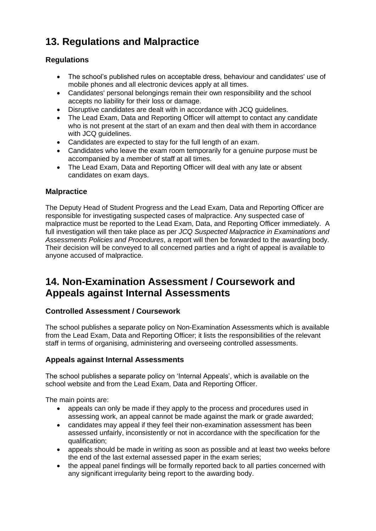# <span id="page-11-0"></span>**13. Regulations and Malpractice**

## **Regulations**

- The school's published rules on acceptable dress, behaviour and candidates' use of mobile phones and all electronic devices apply at all times.
- Candidates' personal belongings remain their own responsibility and the school accepts no liability for their loss or damage.
- Disruptive candidates are dealt with in accordance with JCQ guidelines.
- The Lead Exam, Data and Reporting Officer will attempt to contact any candidate who is not present at the start of an exam and then deal with them in accordance with JCQ guidelines.
- Candidates are expected to stay for the full length of an exam.
- Candidates who leave the exam room temporarily for a genuine purpose must be accompanied by a member of staff at all times.
- The Lead Exam, Data and Reporting Officer will deal with any late or absent candidates on exam days.

### **Malpractice**

The Deputy Head of Student Progress and the Lead Exam, Data and Reporting Officer are responsible for investigating suspected cases of malpractice. Any suspected case of malpractice must be reported to the Lead Exam, Data, and Reporting Officer immediately. A full investigation will then take place as per *JCQ Suspected Malpractice in Examinations and Assessments Policies and Procedures*, a report will then be forwarded to the awarding body. Their decision will be conveyed to all concerned parties and a right of appeal is available to anyone accused of malpractice.

## <span id="page-11-1"></span>**14. Non-Examination Assessment / Coursework and Appeals against Internal Assessments**

### **Controlled Assessment / Coursework**

The school publishes a separate policy on Non-Examination Assessments which is available from the Lead Exam, Data and Reporting Officer; it lists the responsibilities of the relevant staff in terms of organising, administering and overseeing controlled assessments.

### **Appeals against Internal Assessments**

The school publishes a separate policy on 'Internal Appeals', which is available on the school website and from the Lead Exam, Data and Reporting Officer.

The main points are:

- appeals can only be made if they apply to the process and procedures used in assessing work, an appeal cannot be made against the mark or grade awarded;
- candidates may appeal if they feel their non-examination assessment has been assessed unfairly, inconsistently or not in accordance with the specification for the qualification;
- appeals should be made in writing as soon as possible and at least two weeks before the end of the last external assessed paper in the exam series;
- the appeal panel findings will be formally reported back to all parties concerned with any significant irregularity being report to the awarding body.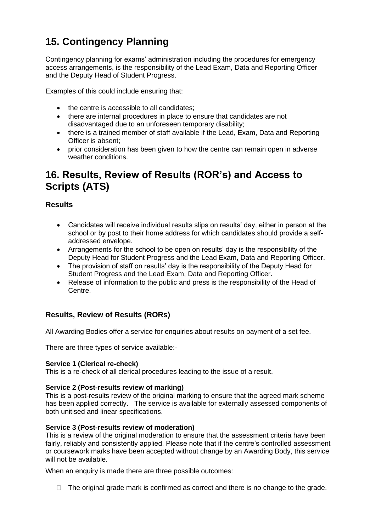# <span id="page-12-0"></span>**15. Contingency Planning**

Contingency planning for exams' administration including the procedures for emergency access arrangements, is the responsibility of the Lead Exam, Data and Reporting Officer and the Deputy Head of Student Progress.

Examples of this could include ensuring that:

- the centre is accessible to all candidates:
- there are internal procedures in place to ensure that candidates are not disadvantaged due to an unforeseen temporary disability;
- there is a trained member of staff available if the Lead, Exam, Data and Reporting Officer is absent;
- prior consideration has been given to how the centre can remain open in adverse weather conditions.

## <span id="page-12-1"></span>**16. Results, Review of Results (ROR's) and Access to Scripts (ATS)**

### **Results**

- Candidates will receive individual results slips on results' day, either in person at the school or by post to their home address for which candidates should provide a selfaddressed envelope.
- Arrangements for the school to be open on results' day is the responsibility of the Deputy Head for Student Progress and the Lead Exam, Data and Reporting Officer.
- The provision of staff on results' day is the responsibility of the Deputy Head for Student Progress and the Lead Exam, Data and Reporting Officer.
- Release of information to the public and press is the responsibility of the Head of Centre.

## **Results, Review of Results (RORs)**

All Awarding Bodies offer a service for enquiries about results on payment of a set fee.

There are three types of service available:-

#### **Service 1 (Clerical re-check)**

This is a re-check of all clerical procedures leading to the issue of a result.

#### **Service 2 (Post-results review of marking)**

This is a post-results review of the original marking to ensure that the agreed mark scheme has been applied correctly. The service is available for externally assessed components of both unitised and linear specifications.

#### **Service 3 (Post-results review of moderation)**

This is a review of the original moderation to ensure that the assessment criteria have been fairly, reliably and consistently applied. Please note that if the centre's controlled assessment or coursework marks have been accepted without change by an Awarding Body, this service will not be available.

When an enquiry is made there are three possible outcomes:

 $\Box$  The original grade mark is confirmed as correct and there is no change to the grade.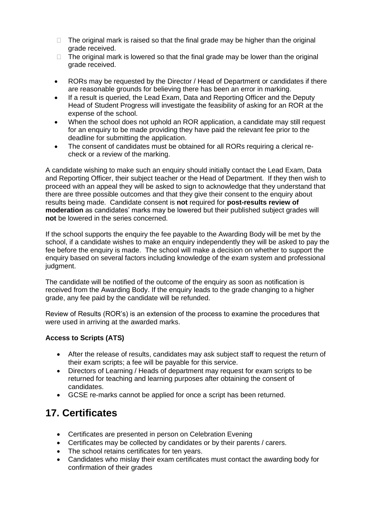- $\Box$  The original mark is raised so that the final grade may be higher than the original grade received.
- $\Box$  The original mark is lowered so that the final grade may be lower than the original grade received.
- RORs may be requested by the Director / Head of Department or candidates if there are reasonable grounds for believing there has been an error in marking.
- If a result is queried, the Lead Exam, Data and Reporting Officer and the Deputy Head of Student Progress will investigate the feasibility of asking for an ROR at the expense of the school.
- When the school does not uphold an ROR application, a candidate may still request for an enquiry to be made providing they have paid the relevant fee prior to the deadline for submitting the application.
- The consent of candidates must be obtained for all RORs requiring a clerical recheck or a review of the marking.

A candidate wishing to make such an enquiry should initially contact the Lead Exam, Data and Reporting Officer, their subject teacher or the Head of Department. If they then wish to proceed with an appeal they will be asked to sign to acknowledge that they understand that there are three possible outcomes and that they give their consent to the enquiry about results being made. Candidate consent is **not** required for **post-results review of moderation** as candidates' marks may be lowered but their published subject grades will **not** be lowered in the series concerned.

If the school supports the enquiry the fee payable to the Awarding Body will be met by the school, if a candidate wishes to make an enquiry independently they will be asked to pay the fee before the enquiry is made. The school will make a decision on whether to support the enquiry based on several factors including knowledge of the exam system and professional judgment.

The candidate will be notified of the outcome of the enquiry as soon as notification is received from the Awarding Body. If the enquiry leads to the grade changing to a higher grade, any fee paid by the candidate will be refunded.

Review of Results (ROR's) is an extension of the process to examine the procedures that were used in arriving at the awarded marks.

### **Access to Scripts (ATS)**

- After the release of results, candidates may ask subject staff to request the return of their exam scripts; a fee will be payable for this service.
- Directors of Learning / Heads of department may request for exam scripts to be returned for teaching and learning purposes after obtaining the consent of candidates.
- GCSE re-marks cannot be applied for once a script has been returned.

## <span id="page-13-0"></span>**17. Certificates**

- Certificates are presented in person on Celebration Evening
- Certificates may be collected by candidates or by their parents / carers.
- The school retains certificates for ten years.
- Candidates who mislay their exam certificates must contact the awarding body for confirmation of their grades